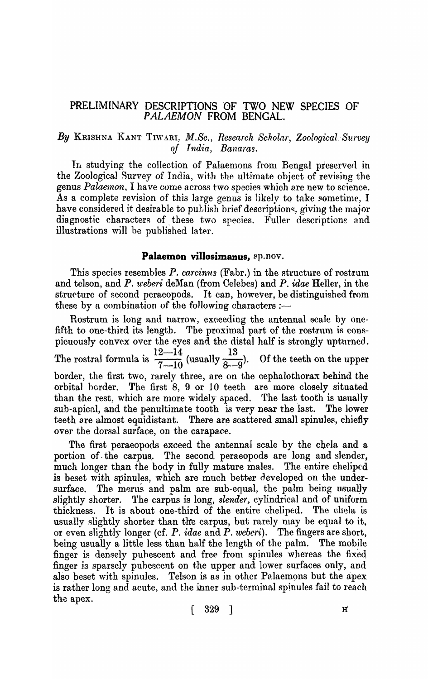## PRELIMINARY DESCRIPTIONS OF TWO NEW SPECIES OF *P ALAEMON* FROM BENGAL.

## By KRISHNA KANT TIWARI, *M.Sc., Research Scholar, Zoological Survey* of *India*, *Banaras.*

In studying the collection of Palaemons from Bengal preserved in the Zoological Survey of India, with the ultimate object of revising the genus *Palaernon,* I have come across two species which are new to science. As a complete revision of this large genus is likely to take sometime. I have considered it desirable to publish brief descriptions, giving the major diagnostic characters of these two species. Fuller descriptions and illustrations will be published later.

## Palaemon villosimanus, *sp.nov.*

This species resembles *P. carcinus* (Fabr.) in the structure of rostrum and telson, and P. weberi deMan (from Celebes) and P. *idae* Heller, in the strurture of second peraeopods. It can, however, be distinguished from these by a combination of the following characters :—

Rostrum is long and narrow, exceeding the antennal scale by onefifth to one-third its length. The proximal part of the rostrum is conspicuously convex over the eyes and the distal half is strongly upturned.  $12-14$   $\mu$  13 The rostral formula is  $\frac{12}{7-10}$  (usually  $\frac{18}{8-9}$ ). Of the teeth on the upper border, the first two, rarely three, are on the cephaJothorax behind the orbital horder. The first 8, 9 or 10 teeth are more closely situated than the rest, which are more widely spaced. The last tooth is usually sub-apical, and the penultimate tooth is very near the last. The lower teeth are almost equidistant. There are scattered small spinules, chiefly over the dorsaJ surface, on the carapace.

The first peraeopods exceed the antennal scale by the chela and a portion of the carpus. The second peraeopods are long and slender, much longer than the body in fully mature males. The entire cheliped is beset with spinules, which are much better developed on the undersurface. The merus and palm are sub-equal, the palm being usually slightly shorter. The carpus is long, *slender*, cylindrical and of uniform thickness. It is about one-third of the entire cheliped. The chela is usually slightly shorter than the carpus, but rarely may be equal to it, or even slightly longer (cf. P. *idae* and P. *weberi*). The fingers are short, being usually a little less than half the length of the palm. The mobile finger is densely pubescent and free from spinules whereas the fixed finger is sparsely pubescent on the upper and lower surfaces only, and also beset with spinules. Telson is as in other Palaemons but the apex is rather long and acute, and the inner sub-terminal spinules fail to reach the apex.

$$
\left[\begin{array}{cc}329\end{array}\right]
$$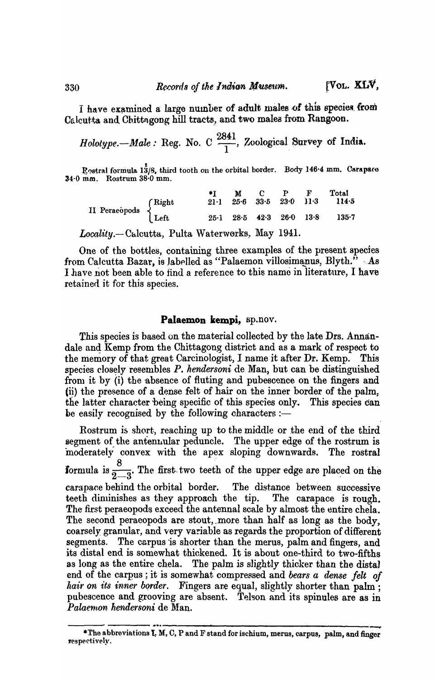I have examined a large number of adult males of this species from Calcutta and Chittagong hill tracts, and two males from Rangoon.

*Holotype.*--*Male:* Reg. No. C  $\frac{2841}{1}$ , Zoological Survey of India.

Rostral formula  $13/8$ , third tooth on the orbital border. Body 146.4 mm. Carapaco  $34.0$  mm. Rostrum  $38.0$  mm.

| II Peraeopods {Right} |  |  |  | *I M C P F Total<br>$21 \cdot 1$ $25 \cdot 6$ $33 \cdot 5$ $23 \cdot 0$ $11 \cdot 3$ $114 \cdot 5$ |
|-----------------------|--|--|--|----------------------------------------------------------------------------------------------------|
|                       |  |  |  | 25.1 28.5 42.3 26.0 13.8 135.7                                                                     |

 $Locality. - Calcutta$ , Pulta Waterworks, May 1941.

One of the bottles, containing three examples of the present species from Calcutta Bazar, is labelled as "Palaemon villosimanus, Blyth." As I have not been able to find a reference to this name in literature, I have retained it for this species.

## Palaemon kempi, sp.nov.

This species is based on the material collected by the late Drs. Annandale and Kemp from the Chittagong district and as a mark of respect to the memory of that great Carcinologist, I name it after Dr. Kemp. This species closely resembles P. *hendersoni* de Man, but can be distinguished from it by (i) the absence of fluting and pubescence on the fingers and (ii) the presence of a dense felt of hair on the inner border of the palm: the latter character being specific of this species only. This species can be easily recognised by the following characters  $:$ 

Rostrum is short, reaching up to the middle or the end of the third segment of the antennular peduncle. The upper edge of the rostrum is moderately convex with the apex sloping downwards. The rostral formula is  $\frac{1}{2}$ 8  $\overline{5}$ . The first two teeth of the upper edge are placed on the carapace behind the orbital border. The distance between successive teeth diminishes as they approach the tip. The carapace is rough. The first peraeopods exceed the antennal scale by almost the entire chela. The second peraeopods are stout, more than half as long as the body, coarsely granular, and very variable as regards the proportion of different segments. The carpus is shorter than the merus, palm and fingers, and its distal end is somewhat thickened. It is about one-third to two-fifths as long as the entire chela. The palm *is* slightly thicker than the distal end of the carpus; it is somewhat compressed and *bears a dense felt of hair on its inner border.* Fingers are equal, slightly shorter than palm: pubescence and grooving are absent. Telson and its spinules are as in *Palaemon hendersoni* de Man.

<sup>\*</sup>The abbreviations I, M, C, P and F stand for ischium, merus, carpus, palm, and finger respectively.